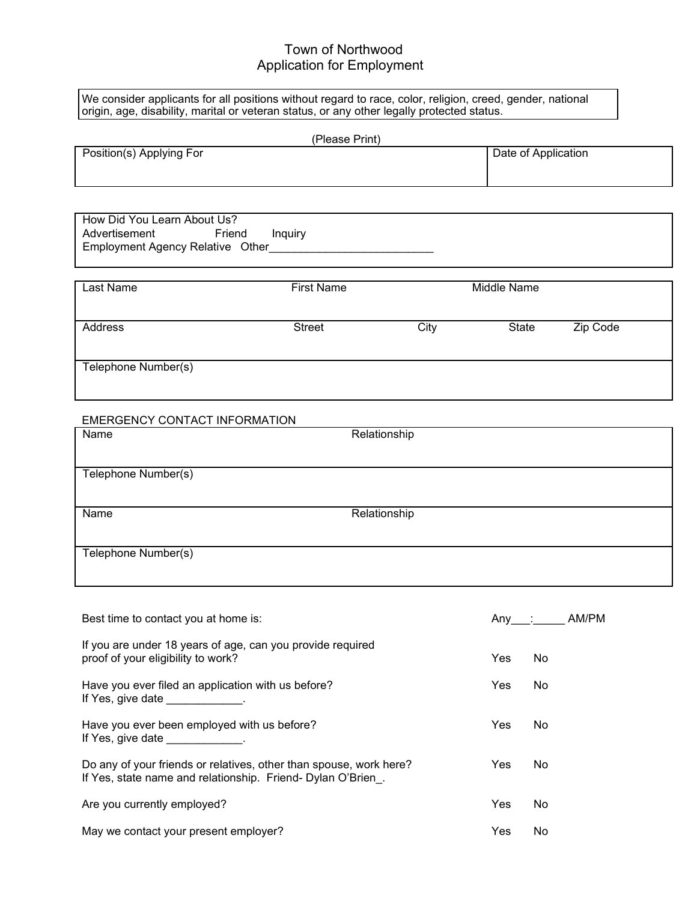## Town of Northwood Application for Employment

We consider applicants for all positions without regard to race, color, religion, creed, gender, national origin, age, disability, marital or veteran status, or any other legally protected status.

|                                                                                                                                    | (Please Print)    |              |                     |          |
|------------------------------------------------------------------------------------------------------------------------------------|-------------------|--------------|---------------------|----------|
| Position(s) Applying For                                                                                                           |                   |              | Date of Application |          |
|                                                                                                                                    |                   |              |                     |          |
| How Did You Learn About Us?<br>Advertisement<br>Friend<br>Employment Agency Relative Other____________________                     | Inquiry           |              |                     |          |
| <b>Last Name</b>                                                                                                                   | <b>First Name</b> |              | <b>Middle Name</b>  |          |
| Address                                                                                                                            | <b>Street</b>     | City         | <b>State</b>        | Zip Code |
| Telephone Number(s)                                                                                                                |                   |              |                     |          |
| EMERGENCY CONTACT INFORMATION                                                                                                      |                   |              |                     |          |
| Name                                                                                                                               |                   | Relationship |                     |          |
| Telephone Number(s)                                                                                                                |                   |              |                     |          |
| Name                                                                                                                               |                   | Relationship |                     |          |
| Telephone Number(s)                                                                                                                |                   |              |                     |          |
| Best time to contact you at home is:                                                                                               |                   |              | Any :               | AM/PM    |
| If you are under 18 years of age, can you provide required                                                                         |                   |              |                     |          |
| proof of your eligibility to work?                                                                                                 |                   |              | Yes<br>No           |          |
| Have you ever filed an application with us before?<br>If Yes, give date _____________.                                             |                   |              | Yes<br>No           |          |
| Have you ever been employed with us before?<br>If Yes, give date ______________.                                                   |                   |              | Yes<br>No           |          |
| Do any of your friends or relatives, other than spouse, work here?<br>If Yes, state name and relationship. Friend- Dylan O'Brien_. |                   |              | Yes<br>No           |          |
| Are you currently employed?                                                                                                        |                   |              | Yes<br>No           |          |

| May we contact your present employer? |  | Yes | - No |
|---------------------------------------|--|-----|------|
|                                       |  |     |      |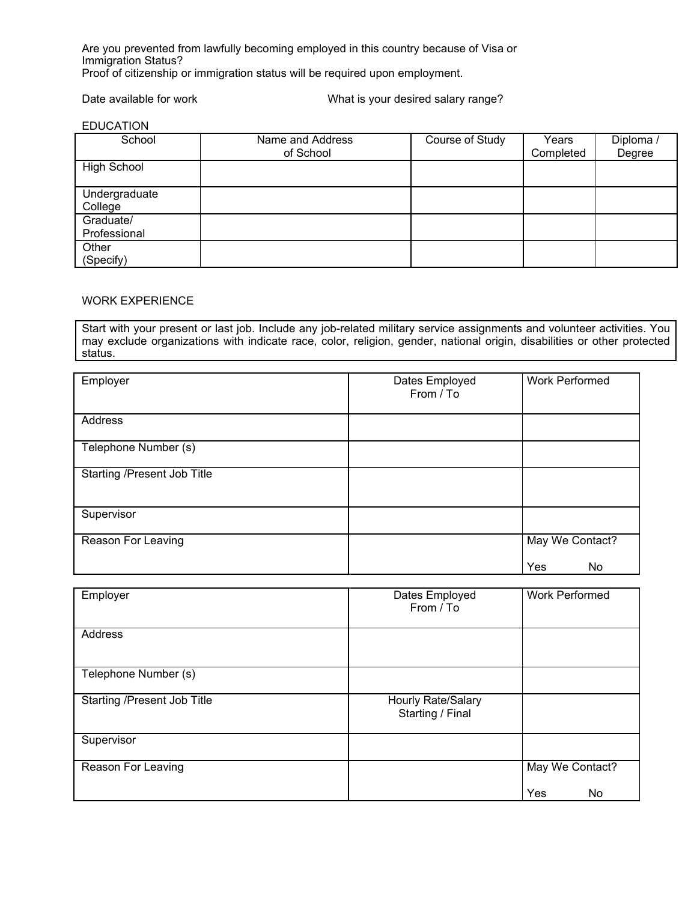Are you prevented from lawfully becoming employed in this country because of Visa or Immigration Status? Proof of citizenship or immigration status will be required upon employment.

Date available for work **National State available for work** What is your desired salary range?

| <b>EDUCATION</b> |
|------------------|
|------------------|

| School                    | Name and Address<br>of School | Course of Study | Years<br>Completed | Diploma<br>Degree |
|---------------------------|-------------------------------|-----------------|--------------------|-------------------|
| High School               |                               |                 |                    |                   |
| Undergraduate<br>College  |                               |                 |                    |                   |
| Graduate/<br>Professional |                               |                 |                    |                   |
| Other<br>(Specify)        |                               |                 |                    |                   |

## WORK EXPERIENCE

Start with your present or last job. Include any job-related military service assignments and volunteer activities. You may exclude organizations with indicate race, color, religion, gender, national origin, disabilities or other protected status.

| Employer                           | Dates Employed<br>From / To | <b>Work Performed</b>        |
|------------------------------------|-----------------------------|------------------------------|
| <b>Address</b>                     |                             |                              |
| Telephone Number (s)               |                             |                              |
| <b>Starting /Present Job Title</b> |                             |                              |
| Supervisor                         |                             |                              |
| Reason For Leaving                 |                             | May We Contact?<br>Yes<br>No |

| Employer                    | Dates Employed<br>From / To            | <b>Work Performed</b>        |
|-----------------------------|----------------------------------------|------------------------------|
| <b>Address</b>              |                                        |                              |
| Telephone Number (s)        |                                        |                              |
| Starting /Present Job Title | Hourly Rate/Salary<br>Starting / Final |                              |
| Supervisor                  |                                        |                              |
| Reason For Leaving          |                                        | May We Contact?<br>Yes<br>No |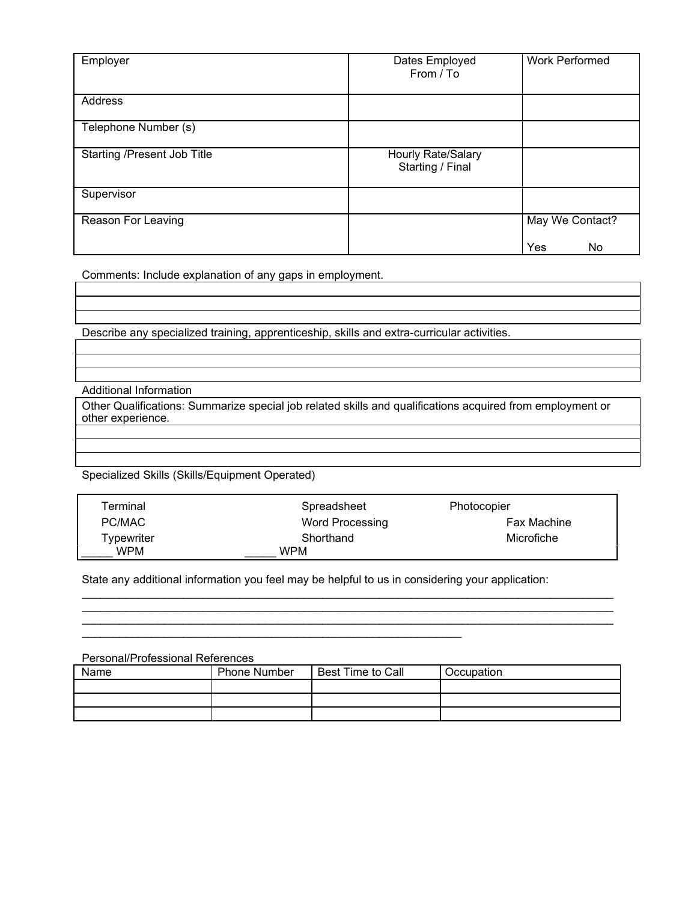| Employer                           | Dates Employed<br>From / To            | <b>Work Performed</b> |
|------------------------------------|----------------------------------------|-----------------------|
| <b>Address</b>                     |                                        |                       |
| Telephone Number (s)               |                                        |                       |
| <b>Starting /Present Job Title</b> | Hourly Rate/Salary<br>Starting / Final |                       |
| Supervisor                         |                                        |                       |
| Reason For Leaving                 |                                        | May We Contact?       |
|                                    |                                        | Yes<br>No             |

Comments: Include explanation of any gaps in employment.

Describe any specialized training, apprenticeship, skills and extra-curricular activities.

Additional Information

Other Qualifications: Summarize special job related skills and qualifications acquired from employment or other experience.

## Specialized Skills (Skills/Equipment Operated)

| Terminal   | Spreadsheet     | Photocopier        |
|------------|-----------------|--------------------|
| PC/MAC     | Word Processing | <b>Fax Machine</b> |
| Typewriter | Shorthand       | Microfiche         |
| <b>WPM</b> | WPM             |                    |

\_\_\_\_\_\_\_\_\_\_\_\_\_\_\_\_\_\_\_\_\_\_\_\_\_\_\_\_\_\_\_\_\_\_\_\_\_\_\_\_\_\_\_\_\_\_\_\_\_\_\_\_\_\_\_\_\_\_\_\_\_\_\_\_\_\_\_\_\_\_\_\_\_\_\_\_\_\_\_\_\_\_\_\_ \_\_\_\_\_\_\_\_\_\_\_\_\_\_\_\_\_\_\_\_\_\_\_\_\_\_\_\_\_\_\_\_\_\_\_\_\_\_\_\_\_\_\_\_\_\_\_\_\_\_\_\_\_\_\_\_\_\_\_\_\_\_\_\_\_\_\_\_\_\_\_\_\_\_\_\_\_\_\_\_\_\_\_\_ \_\_\_\_\_\_\_\_\_\_\_\_\_\_\_\_\_\_\_\_\_\_\_\_\_\_\_\_\_\_\_\_\_\_\_\_\_\_\_\_\_\_\_\_\_\_\_\_\_\_\_\_\_\_\_\_\_\_\_\_\_\_\_\_\_\_\_\_\_\_\_\_\_\_\_\_\_\_\_\_\_\_\_\_

State any additional information you feel may be helpful to us in considering your application:

\_\_\_\_\_\_\_\_\_\_\_\_\_\_\_\_\_\_\_\_\_\_\_\_\_\_\_\_\_\_\_\_\_\_\_\_\_\_\_\_\_\_\_\_\_\_\_\_\_\_\_\_\_\_\_\_\_\_\_\_

Personal/Professional References

| Name | <b>Phone Number</b> | Best Time to Call | Occupation |
|------|---------------------|-------------------|------------|
|      |                     |                   |            |
|      |                     |                   |            |
|      |                     |                   |            |